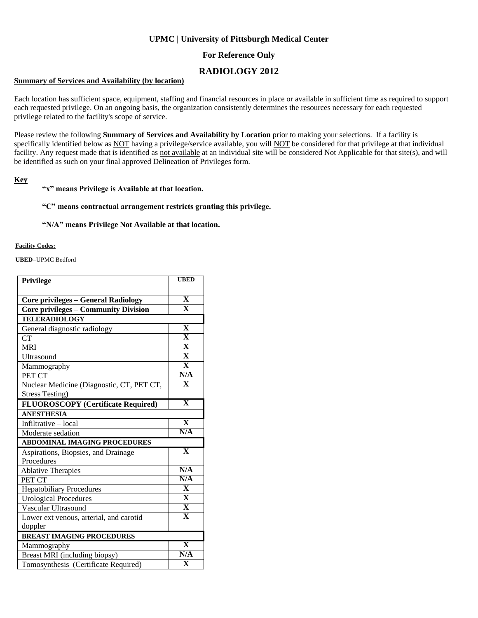## **UPMC | University of Pittsburgh Medical Center**

## **For Reference Only**

# **RADIOLOGY 2012**

### **Summary of Services and Availability (by location)**

Each location has sufficient space, equipment, staffing and financial resources in place or available in sufficient time as required to support each requested privilege. On an ongoing basis, the organization consistently determines the resources necessary for each requested privilege related to the facility's scope of service.

Please review the following **Summary of Services and Availability by Location** prior to making your selections. If a facility is specifically identified below as NOT having a privilege/service available, you will NOT be considered for that privilege at that individual facility. Any request made that is identified as not available at an individual site will be considered Not Applicable for that site(s), and will be identified as such on your final approved Delineation of Privileges form.

### **Key**

### **"x" means Privilege is Available at that location.**

### **"C" means contractual arrangement restricts granting this privilege.**

### **"N/A" means Privilege Not Available at that location.**

#### **Facility Codes:**

**UBED**=UPMC Bedford

| Privilege                                   | <b>UBED</b>             |
|---------------------------------------------|-------------------------|
|                                             |                         |
| <b>Core privileges - General Radiology</b>  | $\overline{\mathbf{X}}$ |
| <b>Core privileges - Community Division</b> | $\overline{\mathbf{X}}$ |
| <b>TELERADIOLOGY</b>                        |                         |
| General diagnostic radiology                | $\overline{\mathbf{X}}$ |
| CT                                          | $\overline{\mathbf{X}}$ |
| <b>MRI</b>                                  | $\overline{\mathbf{X}}$ |
| Ultrasound                                  | $\overline{\mathbf{X}}$ |
| Mammography                                 | $\overline{\mathbf{X}}$ |
| PET CT                                      | N/A                     |
| Nuclear Medicine (Diagnostic, CT, PET CT,   | $\overline{\mathbf{X}}$ |
| <b>Stress Testing</b> )                     |                         |
| FLUOROSCOPY (Certificate Required)          | $\overline{\mathbf{X}}$ |
| <b>ANESTHESIA</b>                           |                         |
| Infiltrative - local                        | $\overline{\mathbf{X}}$ |
| Moderate sedation                           | N/A                     |
| <b>ABDOMINAL IMAGING PROCEDURES</b>         |                         |
| Aspirations, Biopsies, and Drainage         | $\overline{\mathbf{X}}$ |
| Procedures                                  |                         |
| <b>Ablative Therapies</b>                   | N/A                     |
| PET CT                                      | N/A                     |
| <b>Hepatobiliary Procedures</b>             | $\overline{\mathbf{X}}$ |
| <b>Urological Procedures</b>                | $\overline{\mathbf{X}}$ |
| Vascular Ultrasound                         | $\overline{\mathbf{X}}$ |
| Lower ext venous, arterial, and carotid     | $\overline{\mathbf{X}}$ |
| doppler                                     |                         |
| <b>BREAST IMAGING PROCEDURES</b>            |                         |
| Mammography                                 | $\overline{\mathbf{X}}$ |
| Breast MRI (including biopsy)               | N/A                     |
| Tomosynthesis (Certificate Required)        | $\overline{\mathbf{x}}$ |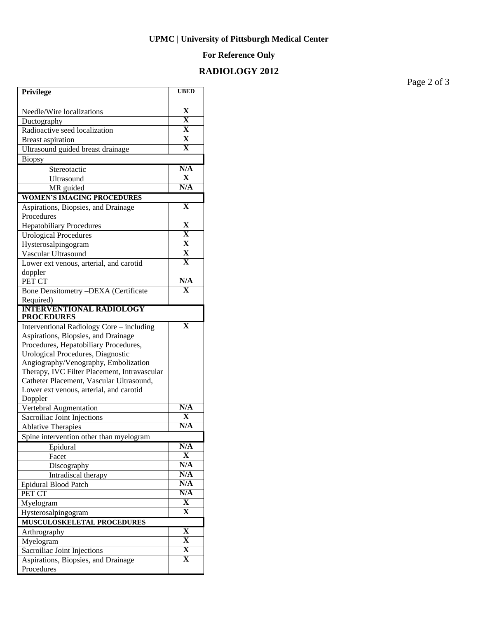## **UPMC | University of Pittsburgh Medical Center**

## **For Reference Only**

# **RADIOLOGY 2012**

**Privilege UBED** Needle/Wire localizations **X**<br>Ductography **X** Ductography **X**<br>Radioactive seed localization **X** Radioactive seed localization **X** Breast aspiration **X** Ultrasound guided breast drainage **X** Biopsy Stereotactic **N/A**<br> **I**IItrasound **X** Ultrasound **X**<br>
MR guided **N/A** MR guided **WOMEN'S IMAGING PROCEDURES** Aspirations, Biopsies, and Drainage Procedures **X** Hepatobiliary Procedures **X** Urological Procedures Hysterosalpingogram **X** Vascular Ultrasound **X** Lower ext venous, arterial, and carotid doppler **X** PET CT **N/A** Bone Densitometry –DEXA (Certificate Required) **X INTERVENTIONAL RADIOLOGY PROCEDURES** Interventional Radiology Core – including Aspirations, Biopsies, and Drainage Procedures, Hepatobiliary Procedures, Urological Procedures, Diagnostic Angiography/Venography, Embolization Therapy, IVC Filter Placement, Intravascular Catheter Placement, Vascular Ultrasound, Lower ext venous, arterial, and carotid Doppler **X Vertebral Augmentation N/A**<br> **N/A**<br> **N/A**<br> **N/A** Sacroiliac Joint Injections **X**<br>Ablative Therapies **X Ablative Therapies** Spine intervention other than myelogram Epidural **N/A** Facet **X** Discography **N/A**  Intradiscal therapy **N/A** Epidural Blood Patch **N/A** PET CT N/A<br>
Nyelogram X Myelogram **X** Hysterosalpingogram **X MUSCULOSKELETAL PROCEDURES** Arthrography **X**<br>Myelogram **X** Myelogram **X**<br>Sacrolliac Joint Iniections **X** Sacroiliac Joint Injections **X** Aspirations, Biopsies, and Drainage Procedures **X**

Page 2 of 3